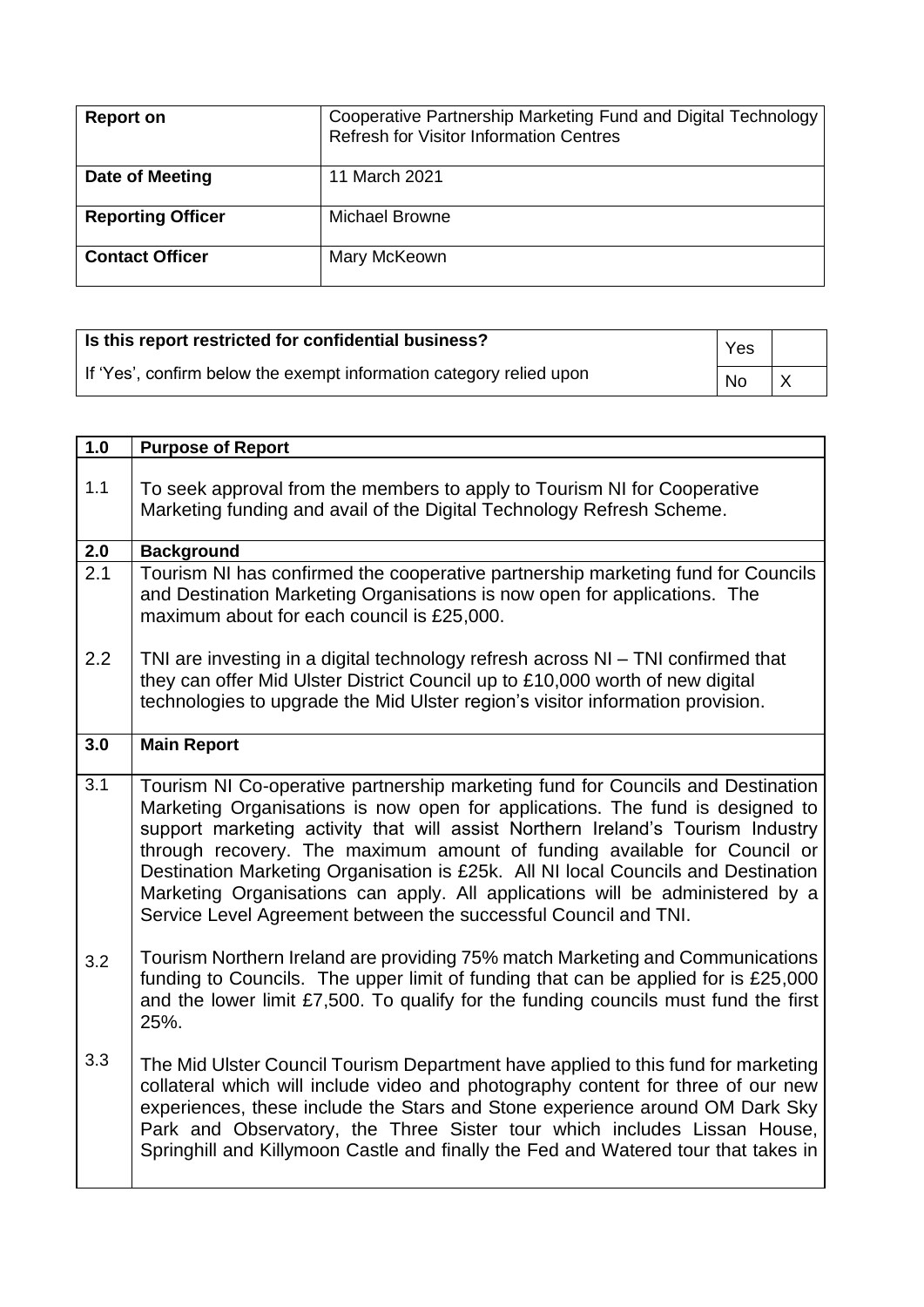| <b>Report on</b>         | Cooperative Partnership Marketing Fund and Digital Technology<br><b>Refresh for Visitor Information Centres</b> |
|--------------------------|-----------------------------------------------------------------------------------------------------------------|
| Date of Meeting          | 11 March 2021                                                                                                   |
| <b>Reporting Officer</b> | Michael Browne                                                                                                  |
| <b>Contact Officer</b>   | Mary McKeown                                                                                                    |

| Is this report restricted for confidential business?                | Yes       |  |
|---------------------------------------------------------------------|-----------|--|
| If 'Yes', confirm below the exempt information category relied upon | <b>No</b> |  |

| 1.0 | <b>Purpose of Report</b>                                                                                                                                                                                                                                                                                                                                                                                                                                                                                                                                                 |
|-----|--------------------------------------------------------------------------------------------------------------------------------------------------------------------------------------------------------------------------------------------------------------------------------------------------------------------------------------------------------------------------------------------------------------------------------------------------------------------------------------------------------------------------------------------------------------------------|
| 1.1 | To seek approval from the members to apply to Tourism NI for Cooperative<br>Marketing funding and avail of the Digital Technology Refresh Scheme.                                                                                                                                                                                                                                                                                                                                                                                                                        |
| 2.0 | <b>Background</b>                                                                                                                                                                                                                                                                                                                                                                                                                                                                                                                                                        |
| 2.1 | Tourism NI has confirmed the cooperative partnership marketing fund for Councils<br>and Destination Marketing Organisations is now open for applications. The<br>maximum about for each council is £25,000.                                                                                                                                                                                                                                                                                                                                                              |
| 2.2 | TNI are investing in a digital technology refresh across NI - TNI confirmed that<br>they can offer Mid Ulster District Council up to £10,000 worth of new digital<br>technologies to upgrade the Mid Ulster region's visitor information provision.                                                                                                                                                                                                                                                                                                                      |
| 3.0 | <b>Main Report</b>                                                                                                                                                                                                                                                                                                                                                                                                                                                                                                                                                       |
| 3.1 | Tourism NI Co-operative partnership marketing fund for Councils and Destination<br>Marketing Organisations is now open for applications. The fund is designed to<br>support marketing activity that will assist Northern Ireland's Tourism Industry<br>through recovery. The maximum amount of funding available for Council or<br>Destination Marketing Organisation is £25k. All NI local Councils and Destination<br>Marketing Organisations can apply. All applications will be administered by a<br>Service Level Agreement between the successful Council and TNI. |
| 3.2 | Tourism Northern Ireland are providing 75% match Marketing and Communications<br>funding to Councils. The upper limit of funding that can be applied for is £25,000<br>and the lower limit £7,500. To qualify for the funding councils must fund the first<br>25%.                                                                                                                                                                                                                                                                                                       |
| 3.3 | The Mid Ulster Council Tourism Department have applied to this fund for marketing<br>collateral which will include video and photography content for three of our new<br>experiences, these include the Stars and Stone experience around OM Dark Sky<br>Park and Observatory, the Three Sister tour which includes Lissan House,<br>Springhill and Killymoon Castle and finally the Fed and Watered tour that takes in                                                                                                                                                  |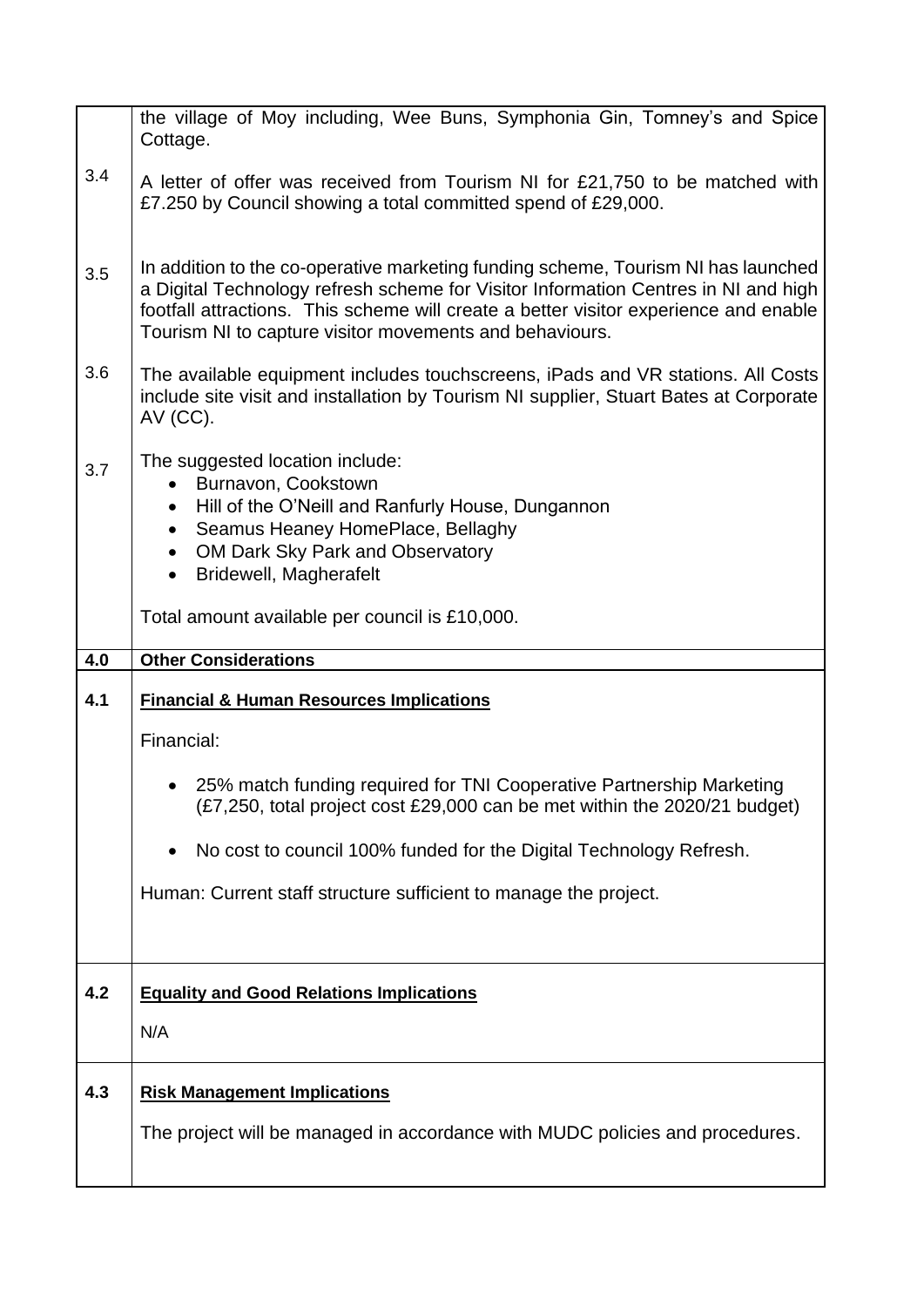|     | the village of Moy including, Wee Buns, Symphonia Gin, Tomney's and Spice<br>Cottage.                                                                                                                                                                                                                                      |
|-----|----------------------------------------------------------------------------------------------------------------------------------------------------------------------------------------------------------------------------------------------------------------------------------------------------------------------------|
| 3.4 | A letter of offer was received from Tourism NI for £21,750 to be matched with<br>£7.250 by Council showing a total committed spend of £29,000.                                                                                                                                                                             |
| 3.5 | In addition to the co-operative marketing funding scheme, Tourism NI has launched<br>a Digital Technology refresh scheme for Visitor Information Centres in NI and high<br>footfall attractions. This scheme will create a better visitor experience and enable<br>Tourism NI to capture visitor movements and behaviours. |
| 3.6 | The available equipment includes touchscreens, iPads and VR stations. All Costs<br>include site visit and installation by Tourism NI supplier, Stuart Bates at Corporate<br>AV (CC).                                                                                                                                       |
| 3.7 | The suggested location include:<br>Burnavon, Cookstown<br>Hill of the O'Neill and Ranfurly House, Dungannon<br>$\bullet$<br>Seamus Heaney HomePlace, Bellaghy<br>$\bullet$<br>OM Dark Sky Park and Observatory<br><b>Bridewell, Magherafelt</b><br>$\bullet$<br>Total amount available per council is £10,000.             |
| 4.0 | <b>Other Considerations</b>                                                                                                                                                                                                                                                                                                |
|     |                                                                                                                                                                                                                                                                                                                            |
| 4.1 | <b>Financial &amp; Human Resources Implications</b>                                                                                                                                                                                                                                                                        |
|     | Financial:                                                                                                                                                                                                                                                                                                                 |
|     | • 25% match funding required for TNI Cooperative Partnership Marketing<br>(£7,250, total project cost £29,000 can be met within the 2020/21 budget)                                                                                                                                                                        |
|     | No cost to council 100% funded for the Digital Technology Refresh.                                                                                                                                                                                                                                                         |
|     | Human: Current staff structure sufficient to manage the project.                                                                                                                                                                                                                                                           |
|     |                                                                                                                                                                                                                                                                                                                            |
| 4.2 | <b>Equality and Good Relations Implications</b>                                                                                                                                                                                                                                                                            |
|     | N/A                                                                                                                                                                                                                                                                                                                        |
| 4.3 | <b>Risk Management Implications</b>                                                                                                                                                                                                                                                                                        |
|     | The project will be managed in accordance with MUDC policies and procedures.                                                                                                                                                                                                                                               |